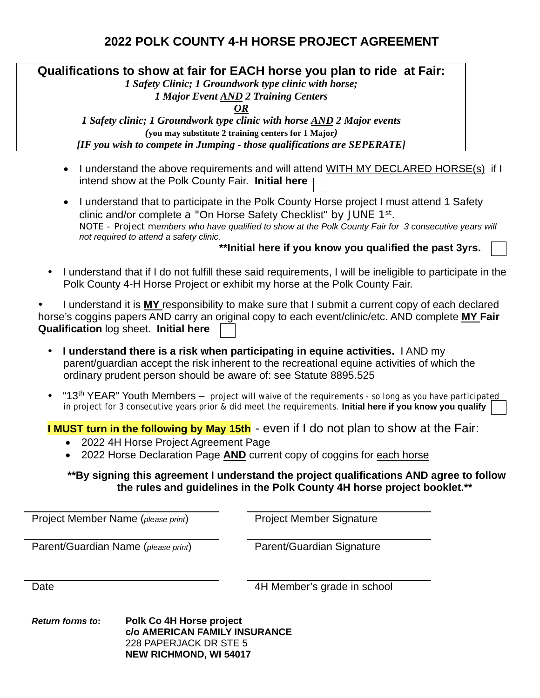## **2022 POLK COUNTY 4-H HORSE PROJECT AGREEMENT**

**Qualifications to show at fair for EACH horse you plan to ride at Fair:** 

*1 Safety Clinic; 1 Groundwork type clinic with horse;* 

*1 Major Event AND 2 Training Centers* 

*OR*

*1 Safety clinic; 1 Groundwork type clinic with horse AND 2 Major events (***you may substitute 2 training centers for 1 Major***) [IF you wish to compete in Jumping - those qualifications are SEPERATE]* 

- I understand the above requirements and will attend WITH MY DECLARED HORSE(s) if I intend show at the Polk County Fair. **Initial here**
- I understand that to participate in the Polk County Horse project I must attend 1 Safety clinic and/or complete a "On Horse Safety Checklist" by JUNE 1st. *NOTE - Project members who have qualified to show at the Polk County Fair for 3 consecutive years will not required to attend a safety clinic.*

### **\*\*Initial here if you know you qualified the past 3yrs.**

 I understand that if I do not fulfill these said requirements, I will be ineligible to participate in the Polk County 4-H Horse Project or exhibit my horse at the Polk County Fair.

 I understand it is **MY** responsibility to make sure that I submit a current copy of each declared horse's coggins papers AND carry an original copy to each event/clinic/etc. AND complete **MY Fair Qualification** log sheet. **Initial here** 

- **I understand there is a risk when participating in equine activities.** I AND my parent/guardian accept the risk inherent to the recreational equine activities of which the ordinary prudent person should be aware of: see Statute 8895.525
- "13<sup>th</sup> YEAR" Youth Members project will waive of the requirements so long as you have participated in project for 3 consecutive years prior & did meet the requirements. **Initial here if you know you qualify**

**I MUST turn in the following by May 15th** - even if I do not plan to show at the Fair:

- 2022 4H Horse Project Agreement Page
- 2022 Horse Declaration Page **AND** current copy of coggins for each horse

#### **\*\*By signing this agreement I understand the project qualifications AND agree to follow the rules and guidelines in the Polk County 4H horse project booklet.\*\***

Project Member Name (*please print*) Project Member Signature

Parent/Guardian Name (*please print*) Parent/Guardian Signature

Date **Date Date 1988 2008 4H Member's grade in school** 

*Return forms to***: Polk Co 4H Horse project c/o AMERICAN FAMILY INSURANCE** 228 PAPERJACK DR STE 5 **NEW RICHMOND, WI 54017**